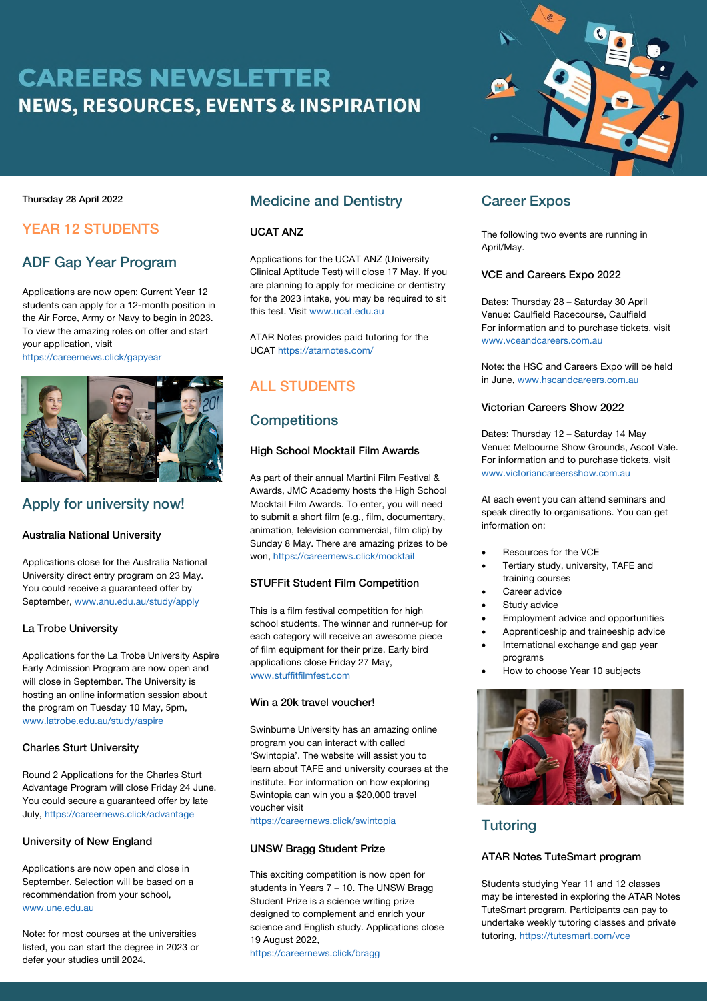# **CAREERS NEWSLETTER NEWS, RESOURCES, EVENTS & INSPIRATION**



#### Thursday 28 April 2022

# YEAR 12 STUDENTS

# ADF Gap Year Program

Applications are now open: Current Year 12 students can apply for a 12-month position in the Air Force, Army or Navy to begin in 2023. To view the amazing roles on offer and start your application, visit

https://careernews.click/gapyear



### Apply for university now!

### Australia National University

Applications close for the Australia National University direct entry program on 23 May. You could receive a guaranteed offer by September, www.anu.edu.au/study/apply

### La Trobe University

Applications for the La Trobe University Aspire Early Admission Program are now open and will close in September. The University is hosting an online information session about the program on Tuesday 10 May, 5pm, www.latrobe.edu.au/study/aspire

### Charles Sturt University

Round 2 Applications for the Charles Sturt Advantage Program will close Friday 24 June. You could secure a guaranteed offer by late July, https://careernews.click/advantage

### University of New England

Applications are now open and close in September. Selection will be based on a recommendation from your school, www.une.edu.au

Note: for most courses at the universities listed, you can start the degree in 2023 or defer your studies until 2024.

### Medicine and Dentistry

#### UCAT ANZ

Applications for the UCAT ANZ (University Clinical Aptitude Test) will close 17 May. If you are planning to apply for medicine or dentistry for the 2023 intake, you may be required to sit this test. Visit www.ucat.edu.au

ATAR Notes provides paid tutoring for the UCAT https://atarnotes.com/

# ALL STUDENTS

# **Competitions**

### High School Mocktail Film Awards

As part of their annual Martini Film Festival & Awards, JMC Academy hosts the High School Mocktail Film Awards. To enter, you will need to submit a short film (e.g., film, documentary, animation, television commercial, film clip) by Sunday 8 May. There are amazing prizes to be won, https://careernews.click/mocktail

### STUFFit Student Film Competition

This is a film festival competition for high school students. The winner and runner-up for each category will receive an awesome piece of film equipment for their prize. Early bird applications close Friday 27 May, www.stuffitfilmfest.com

#### Win a 20k travel voucher!

Swinburne University has an amazing online program you can interact with called 'Swintopia'. The website will assist you to learn about TAFE and university courses at the institute. For information on how exploring Swintopia can win you a \$20,000 travel voucher visit

https://careernews.click/swintopia

#### UNSW Bragg Student Prize

This exciting competition is now open for students in Years 7 – 10. The UNSW Bragg Student Prize is a science writing prize designed to complement and enrich your science and English study. Applications close 19 August 2022, https://careernews.click/bragg

## Career Expos

The following two events are running in April/May.

#### VCE and Careers Expo 2022

Dates: Thursday 28 – Saturday 30 April Venue: Caulfield Racecourse, Caulfield For information and to purchase tickets, visit www.vceandcareers.com.au

Note: the HSC and Careers Expo will be held in June, www.hscandcareers.com.au

#### Victorian Careers Show 2022

Dates: Thursday 12 – Saturday 14 May Venue: Melbourne Show Grounds, Ascot Vale. For information and to purchase tickets, visit www.victoriancareersshow.com.au

At each event you can attend seminars and speak directly to organisations. You can get information on:

- Resources for the VCE
- Tertiary study, university, TAFE and training courses
- Career advice
- Study advice
- Employment advice and opportunities
- Apprenticeship and traineeship advice
	- International exchange and gap year programs
	- How to choose Year 10 subjects



# **Tutoring**

### ATAR Notes TuteSmart program

Students studying Year 11 and 12 classes may be interested in exploring the ATAR Notes TuteSmart program. Participants can pay to undertake weekly tutoring classes and private tutoring, https://tutesmart.com/vce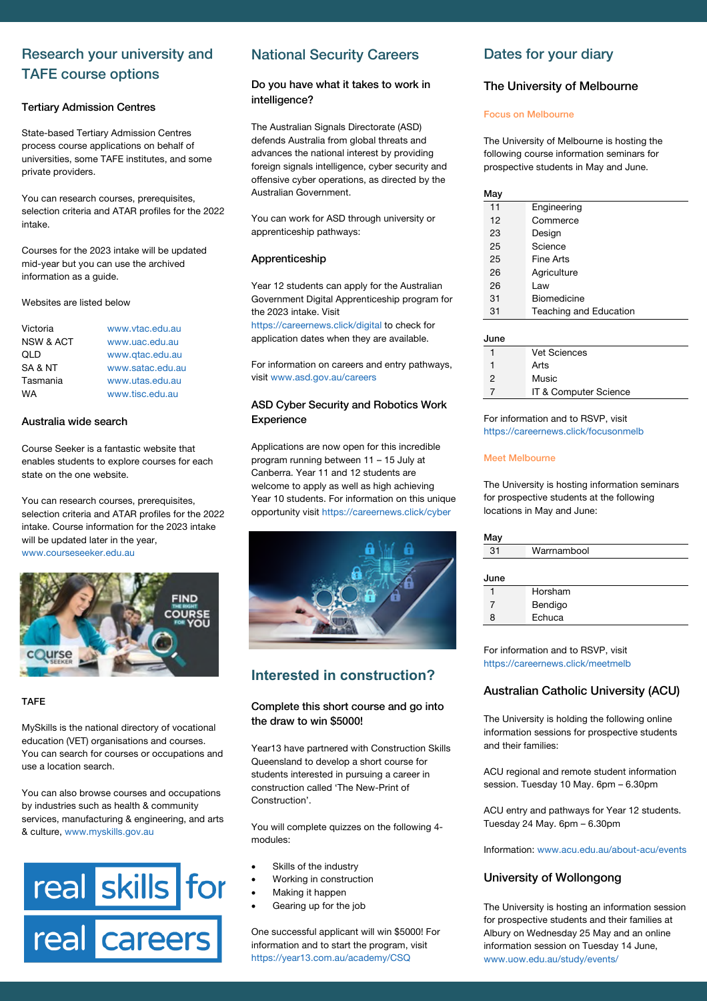# Research your university and TAFE course options

#### Tertiary Admission Centres

State-based Tertiary Admission Centres process course applications on behalf of universities, some TAFE institutes, and some private providers.

You can research courses, prerequisites, selection criteria and ATAR profiles for the 2022 intake.

Courses for the 2023 intake will be updated mid-year but you can use the archived information as a guide.

Websites are listed below

| Victoria             | www.vtac.edu.au  |
|----------------------|------------------|
| <b>NSW &amp; ACT</b> | www.uac.edu.au   |
| QLD                  | www.gtac.edu.au  |
| SA & NT              | www.satac.edu.au |
| Tasmania             | www.utas.edu.au  |
| WА                   | www.tisc.edu.au  |

#### Australia wide search

Course Seeker is a fantastic website that enables students to explore courses for each state on the one website.

You can research courses, prerequisites, selection criteria and ATAR profiles for the 2022 intake. Course information for the 2023 intake will be updated later in the year, www.courseseeker.edu.au



#### TAFE

MySkills is the national directory of vocational education (VET) organisations and courses. You can search for courses or occupations and use a location search.

You can also browse courses and occupations by industries such as health & community services, manufacturing & engineering, and arts & culture, www.myskills.gov.au



# National Security Careers

#### Do you have what it takes to work in intelligence?

The Australian Signals Directorate (ASD) defends Australia from global threats and advances the national interest by providing foreign signals intelligence, cyber security and offensive cyber operations, as directed by the Australian Government.

You can work for ASD through university or apprenticeship pathways:

#### Apprenticeship

Year 12 students can apply for the Australian Government Digital Apprenticeship program for the 2023 intake. Visit

https://careernews.click/digital to check for application dates when they are available.

For information on careers and entry pathways, visit www.asd.gov.au/careers

#### ASD Cyber Security and Robotics Work **Experience**

Applications are now open for this incredible program running between 11 – 15 July at Canberra. Year 11 and 12 students are welcome to apply as well as high achieving Year 10 students. For information on this unique opportunity visit https://careernews.click/cyber



## **Interested in construction?**

#### Complete this short course and go into the draw to win \$5000!

Year13 have partnered with Construction Skills Queensland to develop a short course for students interested in pursuing a career in construction called 'The New-Print of Construction'.

You will complete quizzes on the following 4 modules:

- Skills of the industry
- Working in construction
- Making it happen
- Gearing up for the job

One successful applicant will win \$5000! For information and to start the program, visit https://year13.com.au/academy/CSQ

### Dates for your diary

#### The University of Melbourne

#### Focus on Melbourne

The University of Melbourne is hosting the following course information seminars for prospective students in May and June.

| Mav |                        |
|-----|------------------------|
| 11  | Engineering            |
| 12  | Commerce               |
| 23  | Design                 |
| 25  | Science                |
| 25  | Fine Arts              |
| 26  | Agriculture            |
| 26  | Law                    |
| 31  | Biomedicine            |
| 31  | Teaching and Education |

| June |                       |
|------|-----------------------|
|      | <b>Vet Sciences</b>   |
|      | Arts                  |
| 2    | Music                 |
|      | IT & Computer Science |

For information and to RSVP, visit https://careernews.click/focusonmelb

#### Meet Melbourne

The University is hosting information seminars for prospective students at the following locations in May and June:

| May  |             |
|------|-------------|
| 31   | Warrnambool |
|      |             |
| June |             |
|      | Horsham     |
| 7    | Bendigo     |
| 8    | Echuca      |

For information and to RSVP, visit https://careernews.click/meetmelb

### Australian Catholic University (ACU)

The University is holding the following online information sessions for prospective students and their families:

ACU regional and remote student information session. Tuesday 10 May. 6pm – 6.30pm

ACU entry and pathways for Year 12 students. Tuesday 24 May. 6pm – 6.30pm

Information: www.acu.edu.au/about-acu/events

#### University of Wollongong

The University is hosting an information session for prospective students and their families at Albury on Wednesday 25 May and an online information session on Tuesday 14 June, www.uow.edu.au/study/events/